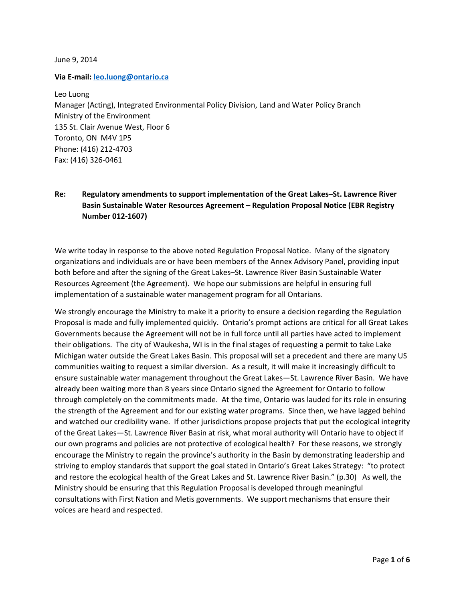June 9, 2014

Via E-mail: **leo.luong@ontario.ca** 

Leo Luong Manager (Acting), Integrated Environmental Policy Division, Land and Water Policy Branch Ministry of the Environment 135 St. Clair Avenue West, Floor 6 Toronto, ON M4V 1P5 Phone: (416) 212-4703 Fax: (416) 326-0461

# Re: Regulatory amendments to support implementation of the Great Lakes–St. Lawrence River Basin Sustainable Water Resources Agreement – Regulation Proposal Notice (EBR Registry Number 012-1607)

We write today in response to the above noted Regulation Proposal Notice. Many of the signatory organizations and individuals are or have been members of the Annex Advisory Panel, providing input both before and after the signing of the Great Lakes–St. Lawrence River Basin Sustainable Water Resources Agreement (the Agreement). We hope our submissions are helpful in ensuring full implementation of a sustainable water management program for all Ontarians.

We strongly encourage the Ministry to make it a priority to ensure a decision regarding the Regulation Proposal is made and fully implemented quickly. Ontario's prompt actions are critical for all Great Lakes Governments because the Agreement will not be in full force until all parties have acted to implement their obligations. The city of Waukesha, WI is in the final stages of requesting a permit to take Lake Michigan water outside the Great Lakes Basin. This proposal will set a precedent and there are many US communities waiting to request a similar diversion. As a result, it will make it increasingly difficult to ensure sustainable water management throughout the Great Lakes—St. Lawrence River Basin. We have already been waiting more than 8 years since Ontario signed the Agreement for Ontario to follow through completely on the commitments made. At the time, Ontario was lauded for its role in ensuring the strength of the Agreement and for our existing water programs. Since then, we have lagged behind and watched our credibility wane. If other jurisdictions propose projects that put the ecological integrity of the Great Lakes—St. Lawrence River Basin at risk, what moral authority will Ontario have to object if our own programs and policies are not protective of ecological health? For these reasons, we strongly encourage the Ministry to regain the province's authority in the Basin by demonstrating leadership and striving to employ standards that support the goal stated in Ontario's Great Lakes Strategy: "to protect and restore the ecological health of the Great Lakes and St. Lawrence River Basin." (p.30) As well, the Ministry should be ensuring that this Regulation Proposal is developed through meaningful consultations with First Nation and Metis governments. We support mechanisms that ensure their voices are heard and respected.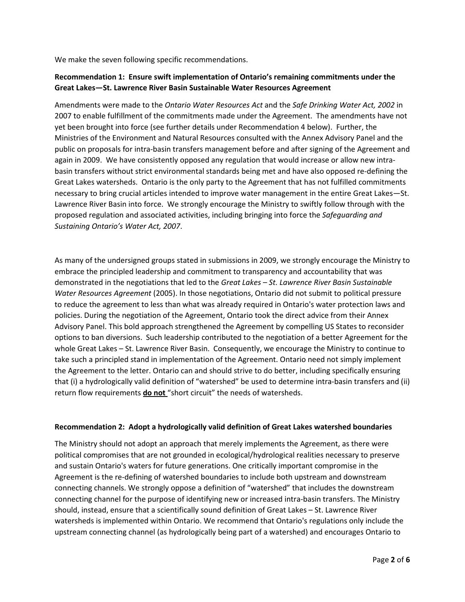We make the seven following specific recommendations.

### Recommendation 1: Ensure swift implementation of Ontario's remaining commitments under the Great Lakes—St. Lawrence River Basin Sustainable Water Resources Agreement

Amendments were made to the Ontario Water Resources Act and the Safe Drinking Water Act, 2002 in 2007 to enable fulfillment of the commitments made under the Agreement. The amendments have not yet been brought into force (see further details under Recommendation 4 below). Further, the Ministries of the Environment and Natural Resources consulted with the Annex Advisory Panel and the public on proposals for intra-basin transfers management before and after signing of the Agreement and again in 2009. We have consistently opposed any regulation that would increase or allow new intrabasin transfers without strict environmental standards being met and have also opposed re-defining the Great Lakes watersheds. Ontario is the only party to the Agreement that has not fulfilled commitments necessary to bring crucial articles intended to improve water management in the entire Great Lakes—St. Lawrence River Basin into force. We strongly encourage the Ministry to swiftly follow through with the proposed regulation and associated activities, including bringing into force the Safeguarding and Sustaining Ontario's Water Act, 2007.

As many of the undersigned groups stated in submissions in 2009, we strongly encourage the Ministry to embrace the principled leadership and commitment to transparency and accountability that was demonstrated in the negotiations that led to the Great Lakes - St. Lawrence River Basin Sustainable Water Resources Agreement (2005). In those negotiations, Ontario did not submit to political pressure to reduce the agreement to less than what was already required in Ontario's water protection laws and policies. During the negotiation of the Agreement, Ontario took the direct advice from their Annex Advisory Panel. This bold approach strengthened the Agreement by compelling US States to reconsider options to ban diversions. Such leadership contributed to the negotiation of a better Agreement for the whole Great Lakes – St. Lawrence River Basin. Consequently, we encourage the Ministry to continue to take such a principled stand in implementation of the Agreement. Ontario need not simply implement the Agreement to the letter. Ontario can and should strive to do better, including specifically ensuring that (i) a hydrologically valid definition of "watershed" be used to determine intra-basin transfers and (ii) return flow requirements do not "short circuit" the needs of watersheds.

### Recommendation 2: Adopt a hydrologically valid definition of Great Lakes watershed boundaries

The Ministry should not adopt an approach that merely implements the Agreement, as there were political compromises that are not grounded in ecological/hydrological realities necessary to preserve and sustain Ontario's waters for future generations. One critically important compromise in the Agreement is the re-defining of watershed boundaries to include both upstream and downstream connecting channels. We strongly oppose a definition of "watershed" that includes the downstream connecting channel for the purpose of identifying new or increased intra-basin transfers. The Ministry should, instead, ensure that a scientifically sound definition of Great Lakes – St. Lawrence River watersheds is implemented within Ontario. We recommend that Ontario's regulations only include the upstream connecting channel (as hydrologically being part of a watershed) and encourages Ontario to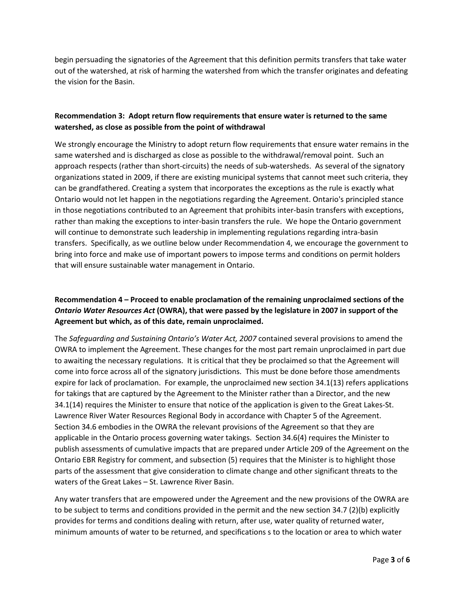begin persuading the signatories of the Agreement that this definition permits transfers that take water out of the watershed, at risk of harming the watershed from which the transfer originates and defeating the vision for the Basin.

### Recommendation 3: Adopt return flow requirements that ensure water is returned to the same watershed, as close as possible from the point of withdrawal

We strongly encourage the Ministry to adopt return flow requirements that ensure water remains in the same watershed and is discharged as close as possible to the withdrawal/removal point. Such an approach respects (rather than short-circuits) the needs of sub-watersheds. As several of the signatory organizations stated in 2009, if there are existing municipal systems that cannot meet such criteria, they can be grandfathered. Creating a system that incorporates the exceptions as the rule is exactly what Ontario would not let happen in the negotiations regarding the Agreement. Ontario's principled stance in those negotiations contributed to an Agreement that prohibits inter-basin transfers with exceptions, rather than making the exceptions to inter-basin transfers the rule. We hope the Ontario government will continue to demonstrate such leadership in implementing regulations regarding intra-basin transfers. Specifically, as we outline below under Recommendation 4, we encourage the government to bring into force and make use of important powers to impose terms and conditions on permit holders that will ensure sustainable water management in Ontario.

# Recommendation 4 – Proceed to enable proclamation of the remaining unproclaimed sections of the Ontario Water Resources Act (OWRA), that were passed by the legislature in 2007 in support of the Agreement but which, as of this date, remain unproclaimed.

The Safeguarding and Sustaining Ontario's Water Act, 2007 contained several provisions to amend the OWRA to implement the Agreement. These changes for the most part remain unproclaimed in part due to awaiting the necessary regulations. It is critical that they be proclaimed so that the Agreement will come into force across all of the signatory jurisdictions. This must be done before those amendments expire for lack of proclamation. For example, the unproclaimed new section 34.1(13) refers applications for takings that are captured by the Agreement to the Minister rather than a Director, and the new 34.1(14) requires the Minister to ensure that notice of the application is given to the Great Lakes-St. Lawrence River Water Resources Regional Body in accordance with Chapter 5 of the Agreement. Section 34.6 embodies in the OWRA the relevant provisions of the Agreement so that they are applicable in the Ontario process governing water takings. Section 34.6(4) requires the Minister to publish assessments of cumulative impacts that are prepared under Article 209 of the Agreement on the Ontario EBR Registry for comment, and subsection (5) requires that the Minister is to highlight those parts of the assessment that give consideration to climate change and other significant threats to the waters of the Great Lakes – St. Lawrence River Basin.

Any water transfers that are empowered under the Agreement and the new provisions of the OWRA are to be subject to terms and conditions provided in the permit and the new section 34.7 (2)(b) explicitly provides for terms and conditions dealing with return, after use, water quality of returned water, minimum amounts of water to be returned, and specifications s to the location or area to which water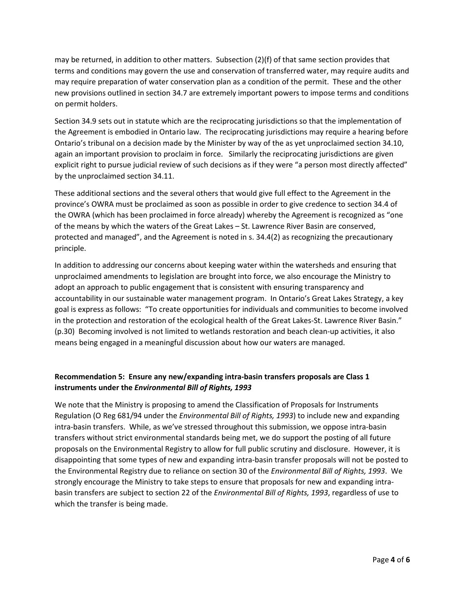may be returned, in addition to other matters. Subsection (2)(f) of that same section provides that terms and conditions may govern the use and conservation of transferred water, may require audits and may require preparation of water conservation plan as a condition of the permit. These and the other new provisions outlined in section 34.7 are extremely important powers to impose terms and conditions on permit holders.

Section 34.9 sets out in statute which are the reciprocating jurisdictions so that the implementation of the Agreement is embodied in Ontario law. The reciprocating jurisdictions may require a hearing before Ontario's tribunal on a decision made by the Minister by way of the as yet unproclaimed section 34.10, again an important provision to proclaim in force. Similarly the reciprocating jurisdictions are given explicit right to pursue judicial review of such decisions as if they were "a person most directly affected" by the unproclaimed section 34.11.

These additional sections and the several others that would give full effect to the Agreement in the province's OWRA must be proclaimed as soon as possible in order to give credence to section 34.4 of the OWRA (which has been proclaimed in force already) whereby the Agreement is recognized as "one of the means by which the waters of the Great Lakes – St. Lawrence River Basin are conserved, protected and managed", and the Agreement is noted in s. 34.4(2) as recognizing the precautionary principle.

In addition to addressing our concerns about keeping water within the watersheds and ensuring that unproclaimed amendments to legislation are brought into force, we also encourage the Ministry to adopt an approach to public engagement that is consistent with ensuring transparency and accountability in our sustainable water management program. In Ontario's Great Lakes Strategy, a key goal is express as follows: "To create opportunities for individuals and communities to become involved in the protection and restoration of the ecological health of the Great Lakes-St. Lawrence River Basin." (p.30) Becoming involved is not limited to wetlands restoration and beach clean-up activities, it also means being engaged in a meaningful discussion about how our waters are managed.

# Recommendation 5: Ensure any new/expanding intra-basin transfers proposals are Class 1 instruments under the Environmental Bill of Rights, 1993

We note that the Ministry is proposing to amend the Classification of Proposals for Instruments Regulation (O Reg 681/94 under the *Environmental Bill of Rights, 1993*) to include new and expanding intra-basin transfers. While, as we've stressed throughout this submission, we oppose intra-basin transfers without strict environmental standards being met, we do support the posting of all future proposals on the Environmental Registry to allow for full public scrutiny and disclosure. However, it is disappointing that some types of new and expanding intra-basin transfer proposals will not be posted to the Environmental Registry due to reliance on section 30 of the Environmental Bill of Rights, 1993. We strongly encourage the Ministry to take steps to ensure that proposals for new and expanding intrabasin transfers are subject to section 22 of the Environmental Bill of Rights, 1993, regardless of use to which the transfer is being made.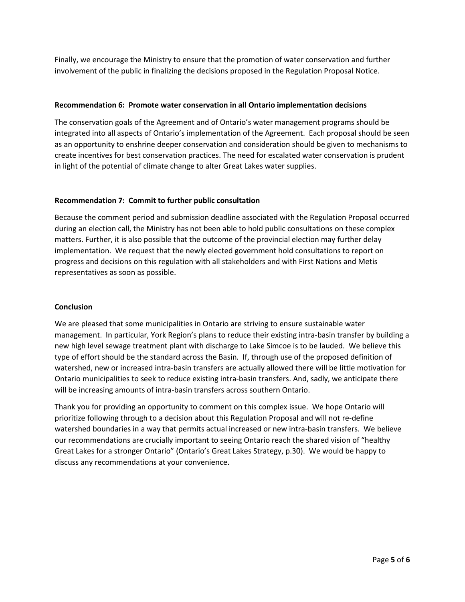Finally, we encourage the Ministry to ensure that the promotion of water conservation and further involvement of the public in finalizing the decisions proposed in the Regulation Proposal Notice.

### Recommendation 6: Promote water conservation in all Ontario implementation decisions

The conservation goals of the Agreement and of Ontario's water management programs should be integrated into all aspects of Ontario's implementation of the Agreement. Each proposal should be seen as an opportunity to enshrine deeper conservation and consideration should be given to mechanisms to create incentives for best conservation practices. The need for escalated water conservation is prudent in light of the potential of climate change to alter Great Lakes water supplies.

### Recommendation 7: Commit to further public consultation

Because the comment period and submission deadline associated with the Regulation Proposal occurred during an election call, the Ministry has not been able to hold public consultations on these complex matters. Further, it is also possible that the outcome of the provincial election may further delay implementation. We request that the newly elected government hold consultations to report on progress and decisions on this regulation with all stakeholders and with First Nations and Metis representatives as soon as possible.

### Conclusion

We are pleased that some municipalities in Ontario are striving to ensure sustainable water management. In particular, York Region's plans to reduce their existing intra-basin transfer by building a new high level sewage treatment plant with discharge to Lake Simcoe is to be lauded. We believe this type of effort should be the standard across the Basin. If, through use of the proposed definition of watershed, new or increased intra-basin transfers are actually allowed there will be little motivation for Ontario municipalities to seek to reduce existing intra-basin transfers. And, sadly, we anticipate there will be increasing amounts of intra-basin transfers across southern Ontario.

Thank you for providing an opportunity to comment on this complex issue. We hope Ontario will prioritize following through to a decision about this Regulation Proposal and will not re-define watershed boundaries in a way that permits actual increased or new intra-basin transfers. We believe our recommendations are crucially important to seeing Ontario reach the shared vision of "healthy Great Lakes for a stronger Ontario" (Ontario's Great Lakes Strategy, p.30). We would be happy to discuss any recommendations at your convenience.